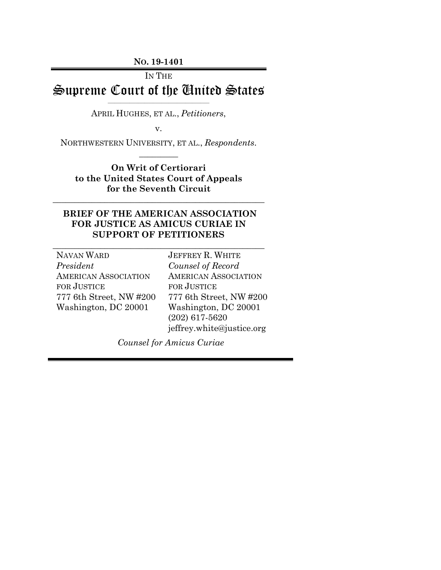**NO. 19-1401**

# IN THE Supreme Court of the United States

 $\overline{\phantom{a}}$  , and the contract of the contract of the contract of the contract of the contract of the contract of the contract of the contract of the contract of the contract of the contract of the contract of the contrac APRIL HUGHES, ET AL., *Petitioners*,

v.

NORTHWESTERN UNIVERSITY, ET AL., *Respondents*.  $\overline{\phantom{a}}$ 

**On Writ of Certiorari to the United States Court of Appeals for the Seventh Circuit**

\_\_\_\_\_\_\_\_\_\_\_\_\_\_\_\_\_\_\_\_\_\_\_\_\_\_\_\_\_\_\_\_\_\_\_\_\_\_\_\_\_\_\_\_\_\_\_\_\_

### **BRIEF OF THE AMERICAN ASSOCIATION FOR JUSTICE AS AMICUS CURIAE IN SUPPORT OF PETITIONERS**

\_\_\_\_\_\_\_\_\_\_\_\_\_\_\_\_\_\_\_\_\_\_\_\_\_\_\_\_\_\_\_\_\_\_\_\_\_\_\_\_\_\_\_\_\_\_\_\_\_

NAVAN WARD *President* AMERICAN ASSOCIATION FOR JUSTICE 777 6th Street, NW #200 Washington, DC 20001

JEFFREY R. WHITE *Counsel of Record* AMERICAN ASSOCIATION FOR JUSTICE 777 6th Street, NW #200 Washington, DC 20001 (202) 617-5620 jeffrey.white@justice.org

*Counsel for Amicus Curiae*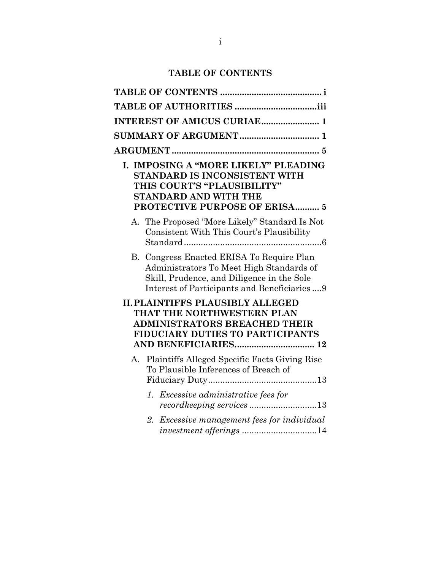## **TABLE OF CONTENTS**

<span id="page-1-0"></span>

| <b>INTEREST OF AMICUS CURIAE 1</b>                                                                                                                                                 |
|------------------------------------------------------------------------------------------------------------------------------------------------------------------------------------|
|                                                                                                                                                                                    |
|                                                                                                                                                                                    |
| I. IMPOSING A "MORE LIKELY" PLEADING<br>STANDARD IS INCONSISTENT WITH<br>THIS COURT'S "PLAUSIBILITY"<br><b>STANDARD AND WITH THE</b><br>PROTECTIVE PURPOSE OF ERISA 5              |
| A. The Proposed "More Likely" Standard Is Not<br>Consistent With This Court's Plausibility                                                                                         |
| B. Congress Enacted ERISA To Require Plan<br>Administrators To Meet High Standards of<br>Skill, Prudence, and Diligence in the Sole<br>Interest of Participants and Beneficiaries9 |
| <b>II. PLAINTIFFS PLAUSIBLY ALLEGED</b><br>THAT THE NORTHWESTERN PLAN<br><b>ADMINISTRATORS BREACHED THEIR</b><br>FIDUCIARY DUTIES TO PARTICIPANTS                                  |
| Plaintiffs Alleged Specific Facts Giving Rise<br>А.<br>To Plausible Inferences of Breach of                                                                                        |
| 1. Excessive administrative fees for                                                                                                                                               |
| 2. Excessive management fees for individual<br>investment offerings 14                                                                                                             |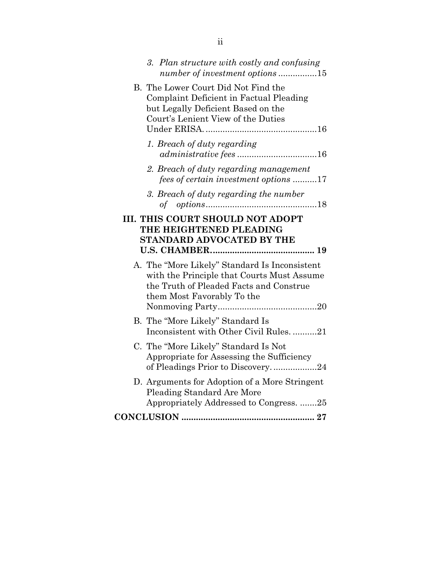| 3. Plan structure with costly and confusing<br>number of investment options 15                                                                                       |
|----------------------------------------------------------------------------------------------------------------------------------------------------------------------|
| B. The Lower Court Did Not Find the<br>Complaint Deficient in Factual Pleading<br>but Legally Deficient Based on the<br>Court's Lenient View of the Duties           |
| 1. Breach of duty regarding                                                                                                                                          |
| 2. Breach of duty regarding management<br>fees of certain investment options 17                                                                                      |
| 3. Breach of duty regarding the number                                                                                                                               |
| <b>III. THIS COURT SHOULD NOT ADOPT</b><br>THE HEIGHTENED PLEADING<br><b>STANDARD ADVOCATED BY THE</b>                                                               |
|                                                                                                                                                                      |
| A. The "More Likely" Standard Is Inconsistent<br>with the Principle that Courts Must Assume<br>the Truth of Pleaded Facts and Construe<br>them Most Favorably To the |
| B. The "More Likely" Standard Is<br>Inconsistent with Other Civil Rules. 21                                                                                          |
| C. The "More Likely" Standard Is Not<br>Appropriate for Assessing the Sufficiency<br>of Pleadings Prior to Discovery24                                               |
| D. Arguments for Adoption of a More Stringent<br>Pleading Standard Are More<br>Appropriately Addressed to Congress. 25                                               |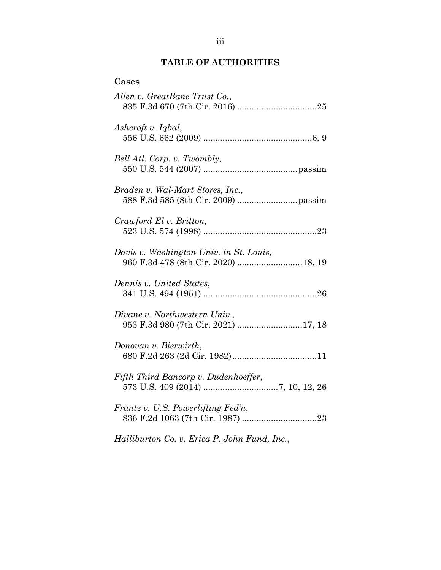## **TABLE OF AUTHORITIES**

<span id="page-3-0"></span>

*Halliburton Co. v. Erica P. John Fund, Inc.*,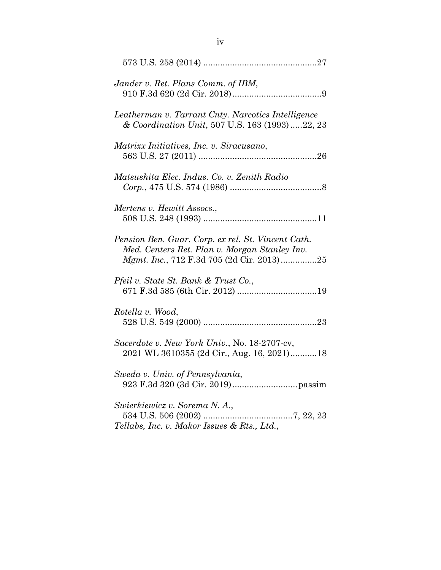| Jander v. Ret. Plans Comm. of IBM,                                                                                                               |
|--------------------------------------------------------------------------------------------------------------------------------------------------|
| Leatherman v. Tarrant Cnty. Narcotics Intelligence<br>& Coordination Unit, 507 U.S. 163 (1993) 22, 23                                            |
| Matrixx Initiatives, Inc. v. Siracusano,                                                                                                         |
| Matsushita Elec. Indus. Co. v. Zenith Radio                                                                                                      |
| Mertens v. Hewitt Assocs.,                                                                                                                       |
| Pension Ben. Guar. Corp. ex rel. St. Vincent Cath.<br>Med. Centers Ret. Plan v. Morgan Stanley Inv.<br>Mgmt. Inc., 712 F.3d 705 (2d Cir. 2013)25 |
| Pfeil v. State St. Bank & Trust Co.,                                                                                                             |
| Rotella v. Wood,                                                                                                                                 |
| Sacerdote v. New York Univ., No. 18-2707-cv,<br>2021 WL 3610355 (2d Cir., Aug. 16, 2021)18                                                       |
| Sweda v. Univ. of Pennsylvania,                                                                                                                  |
| Swierkiewicz v. Sorema N. A.,<br>Tellabs, Inc. v. Makor Issues & Rts., Ltd.,                                                                     |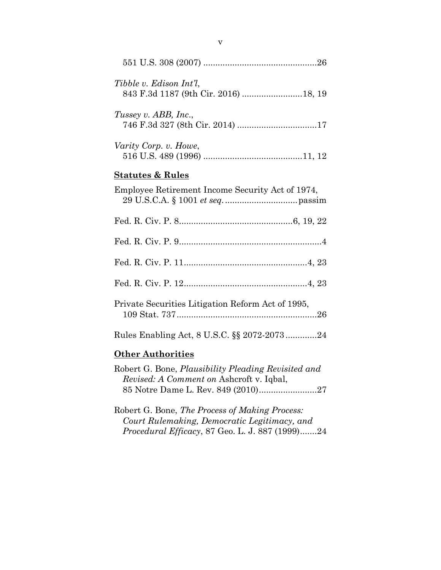| Tibble v. Edison Int'l.<br>843 F.3d 1187 (9th Cir. 2016) 18, 19 |
|-----------------------------------------------------------------|
| Tussey v. ABB, Inc.,                                            |
| Varity Corp. v. Howe,                                           |
| <b>Statutes &amp; Rules</b>                                     |
| Employee Retirement Income Security Act of 1974,                |
|                                                                 |
|                                                                 |
|                                                                 |
|                                                                 |
| Private Securities Litigation Reform Act of 1995,               |
| Rules Enabling Act, 8 U.S.C. §§ 2072-207324                     |
| <b>Other Authorities</b>                                        |

| Robert G. Bone, Plausibility Pleading Revisited and |  |
|-----------------------------------------------------|--|
| <i>Revised: A Comment on Ashcroft v. Iqbal,</i>     |  |
|                                                     |  |

Robert G. Bone, *The Process of Making Process: Court Rulemaking, Democratic Legitimacy, and Procedural Efficacy*, 87 Geo. L. J. 887 (1999).......24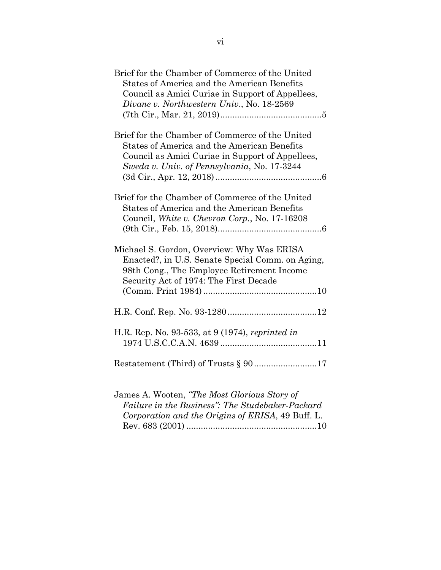| Brief for the Chamber of Commerce of the United<br><b>States of America and the American Benefits</b><br>Council as Amici Curiae in Support of Appellees,<br>Divane v. Northwestern Univ., No. 18-2569   |
|----------------------------------------------------------------------------------------------------------------------------------------------------------------------------------------------------------|
| Brief for the Chamber of Commerce of the United<br><b>States of America and the American Benefits</b><br>Council as Amici Curiae in Support of Appellees,<br>Sweda v. Univ. of Pennsylvania, No. 17-3244 |
| Brief for the Chamber of Commerce of the United<br>States of America and the American Benefits<br>Council, White v. Chevron Corp., No. 17-16208                                                          |
| Michael S. Gordon, Overview: Why Was ERISA<br>Enacted?, in U.S. Senate Special Comm. on Aging,<br>98th Cong., The Employee Retirement Income<br>Security Act of 1974: The First Decade                   |
|                                                                                                                                                                                                          |
| H.R. Rep. No. 93-533, at 9 (1974), reprinted in                                                                                                                                                          |
| Restatement (Third) of Trusts § 9017                                                                                                                                                                     |
| James A. Wooten, "The Most Glorious Story of<br>Failure in the Business": The Studebaker-Packard<br>Corporation and the Origins of ERISA, 49 Buff. L.                                                    |

Rev. 683 (2001) ......................................................10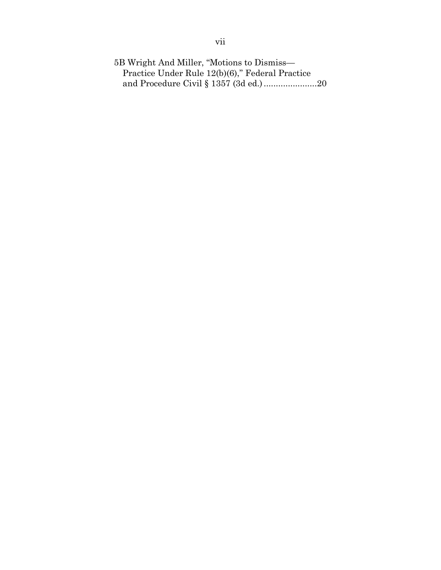5B Wright And Miller, "Motions to Dismiss— Practice Under Rule 12(b)(6)," Federal Practice and Procedure Civil § 1357 (3d ed.)......................20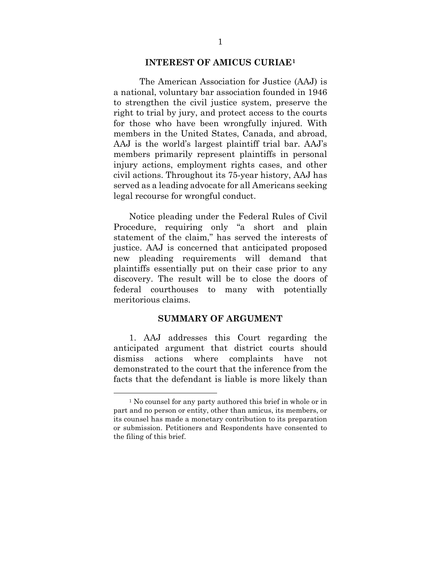#### **INTEREST OF AMICUS CURIAE[1](#page-8-2)**

<span id="page-8-0"></span>The American Association for Justice (AAJ) is a national, voluntary bar association founded in 1946 to strengthen the civil justice system, preserve the right to trial by jury, and protect access to the courts for those who have been wrongfully injured. With members in the United States, Canada, and abroad, AAJ is the world's largest plaintiff trial bar. AAJ's members primarily represent plaintiffs in personal injury actions, employment rights cases, and other civil actions. Throughout its 75-year history, AAJ has served as a leading advocate for all Americans seeking legal recourse for wrongful conduct.

Notice pleading under the Federal Rules of Civil Procedure, requiring only "a short and plain statement of the claim," has served the interests of justice. AAJ is concerned that anticipated proposed new pleading requirements will demand that plaintiffs essentially put on their case prior to any discovery. The result will be to close the doors of federal courthouses to many with potentially meritorious claims.

#### **SUMMARY OF ARGUMENT**

<span id="page-8-1"></span>1. AAJ addresses this Court regarding the anticipated argument that district courts should dismiss actions where complaints have not demonstrated to the court that the inference from the facts that the defendant is liable is more likely than

<span id="page-8-2"></span><sup>&</sup>lt;sup>1</sup> No counsel for any party authored this brief in whole or in part and no person or entity, other than amicus, its members, or its counsel has made a monetary contribution to its preparation or submission. Petitioners and Respondents have consented to the filing of this brief.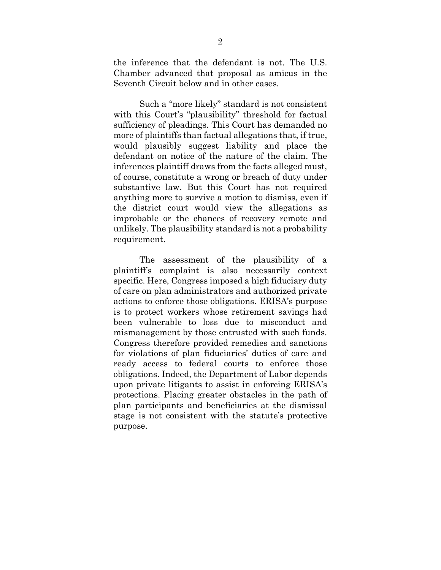the inference that the defendant is not. The U.S. Chamber advanced that proposal as amicus in the Seventh Circuit below and in other cases.

Such a "more likely" standard is not consistent with this Court's "plausibility" threshold for factual sufficiency of pleadings. This Court has demanded no more of plaintiffs than factual allegations that, if true, would plausibly suggest liability and place the defendant on notice of the nature of the claim. The inferences plaintiff draws from the facts alleged must, of course, constitute a wrong or breach of duty under substantive law. But this Court has not required anything more to survive a motion to dismiss, even if the district court would view the allegations as improbable or the chances of recovery remote and unlikely. The plausibility standard is not a probability requirement.

The assessment of the plausibility of a plaintiff's complaint is also necessarily context specific. Here, Congress imposed a high fiduciary duty of care on plan administrators and authorized private actions to enforce those obligations. ERISA's purpose is to protect workers whose retirement savings had been vulnerable to loss due to misconduct and mismanagement by those entrusted with such funds. Congress therefore provided remedies and sanctions for violations of plan fiduciaries' duties of care and ready access to federal courts to enforce those obligations. Indeed, the Department of Labor depends upon private litigants to assist in enforcing ERISA's protections. Placing greater obstacles in the path of plan participants and beneficiaries at the dismissal stage is not consistent with the statute's protective purpose.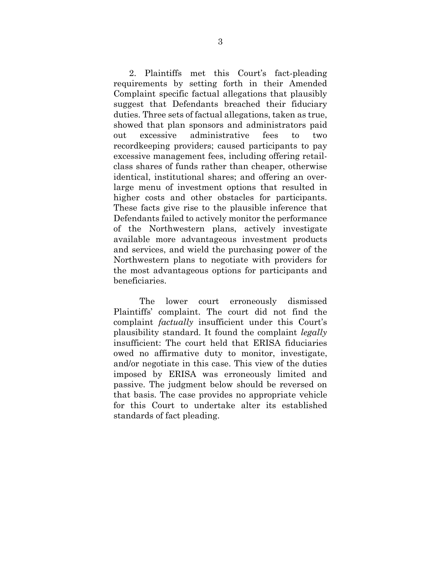2. Plaintiffs met this Court's fact-pleading requirements by setting forth in their Amended Complaint specific factual allegations that plausibly suggest that Defendants breached their fiduciary duties. Three sets of factual allegations, taken as true, showed that plan sponsors and administrators paid out excessive administrative fees to two recordkeeping providers; caused participants to pay excessive management fees, including offering retailclass shares of funds rather than cheaper, otherwise identical, institutional shares; and offering an overlarge menu of investment options that resulted in higher costs and other obstacles for participants. These facts give rise to the plausible inference that Defendants failed to actively monitor the performance of the Northwestern plans, actively investigate available more advantageous investment products and services, and wield the purchasing power of the Northwestern plans to negotiate with providers for the most advantageous options for participants and beneficiaries.

The lower court erroneously dismissed Plaintiffs' complaint. The court did not find the complaint *factually* insufficient under this Court's plausibility standard. It found the complaint *legally* insufficient: The court held that ERISA fiduciaries owed no affirmative duty to monitor, investigate, and/or negotiate in this case. This view of the duties imposed by ERISA was erroneously limited and passive. The judgment below should be reversed on that basis. The case provides no appropriate vehicle for this Court to undertake alter its established standards of fact pleading.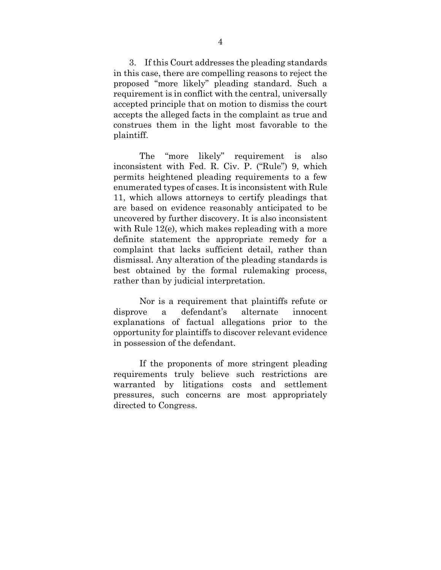3. If this Court addresses the pleading standards in this case, there are compelling reasons to reject the proposed "more likely" pleading standard. Such a requirement is in conflict with the central, universally accepted principle that on motion to dismiss the court accepts the alleged facts in the complaint as true and construes them in the light most favorable to the plaintiff.

The "more likely" requirement is also inconsistent with Fed. R. Civ. P. ("Rule") 9, which permits heightened pleading requirements to a few enumerated types of cases. It is inconsistent with Rule 11, which allows attorneys to certify pleadings that are based on evidence reasonably anticipated to be uncovered by further discovery. It is also inconsistent with Rule 12(e), which makes repleading with a more definite statement the appropriate remedy for a complaint that lacks sufficient detail, rather than dismissal. Any alteration of the pleading standards is best obtained by the formal rulemaking process, rather than by judicial interpretation.

Nor is a requirement that plaintiffs refute or disprove a defendant's alternate innocent explanations of factual allegations prior to the opportunity for plaintiffs to discover relevant evidence in possession of the defendant.

If the proponents of more stringent pleading requirements truly believe such restrictions are warranted by litigations costs and settlement pressures, such concerns are most appropriately directed to Congress.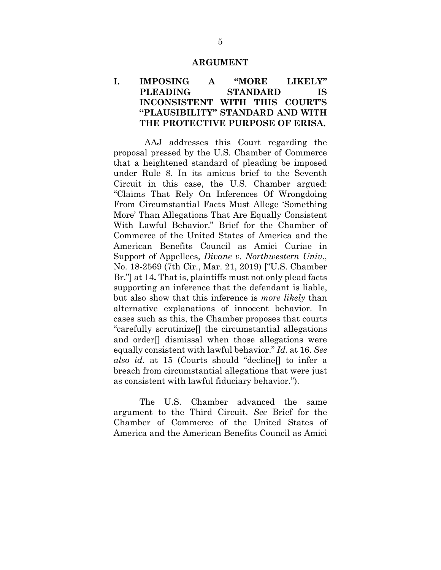#### **ARGUMENT**

#### <span id="page-12-1"></span><span id="page-12-0"></span>**I. IMPOSING A "MORE LIKELY" PLEADING STANDARD IS INCONSISTENT WITH THIS COURT'S "PLAUSIBILITY" STANDARD AND WITH THE PROTECTIVE PURPOSE OF ERISA.**

AAJ addresses this Court regarding the proposal pressed by the U.S. Chamber of Commerce that a heightened standard of pleading be imposed under Rule 8. In its amicus brief to the Seventh Circuit in this case, the U.S. Chamber argued: "Claims That Rely On Inferences Of Wrongdoing From Circumstantial Facts Must Allege 'Something More' Than Allegations That Are Equally Consistent With Lawful Behavior." Brief for the Chamber of Commerce of the United States of America and the American Benefits Council as Amici Curiae in Support of Appellees, *Divane v. Northwestern Univ*., No. 18-2569 (7th Cir., Mar. 21, 2019) ["U.S. Chamber Br."] at 14**.** That is, plaintiffs must not only plead facts supporting an inference that the defendant is liable, but also show that this inference is *more likely* than alternative explanations of innocent behavior. In cases such as this, the Chamber proposes that courts "carefully scrutinize[] the circumstantial allegations and order[] dismissal when those allegations were equally consistent with lawful behavior." *Id.* at 16. *See also id.* at 15 (Courts should "decline[] to infer a breach from circumstantial allegations that were just as consistent with lawful fiduciary behavior.").

The U.S. Chamber advanced the same argument to the Third Circuit. *See* Brief for the Chamber of Commerce of the United States of America and the American Benefits Council as Amici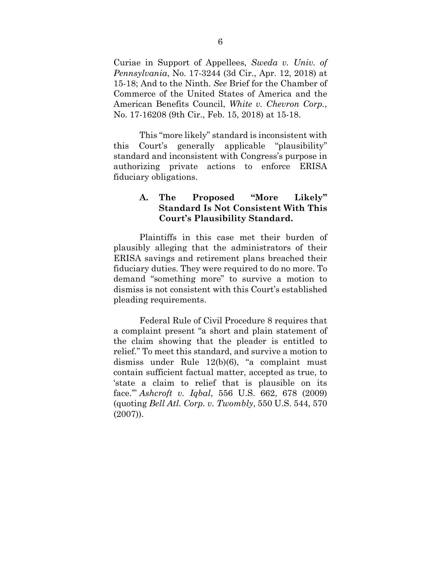Curiae in Support of Appellees, *Sweda v. Univ. of Pennsylvania*, No. 17-3244 (3d Cir., Apr. 12, 2018) at 15-18; And to the Ninth. *See* Brief for the Chamber of Commerce of the United States of America and the American Benefits Council, *White v. Chevron Corp.*, No. 17-16208 (9th Cir., Feb. 15, 2018) at 15-18.

This "more likely" standard is inconsistent with this Court's generally applicable "plausibility" standard and inconsistent with Congress's purpose in authorizing private actions to enforce ERISA fiduciary obligations.

#### <span id="page-13-0"></span>**A. The Proposed "More Likely" Standard Is Not Consistent With This Court's Plausibility Standard.**

Plaintiffs in this case met their burden of plausibly alleging that the administrators of their ERISA savings and retirement plans breached their fiduciary duties. They were required to do no more. To demand "something more" to survive a motion to dismiss is not consistent with this Court's established pleading requirements.

Federal Rule of Civil Procedure 8 requires that a complaint present "a short and plain statement of the claim showing that the pleader is entitled to relief." To meet this standard, and survive a motion to dismiss under Rule 12(b)(6), "a complaint must contain sufficient factual matter, accepted as true, to 'state a claim to relief that is plausible on its face.'" *Ashcroft v. Iqbal*, 556 U.S. 662, 678 (2009) (quoting *Bell Atl. Corp. v. Twombly*, 550 U.S. 544, 570 (2007)).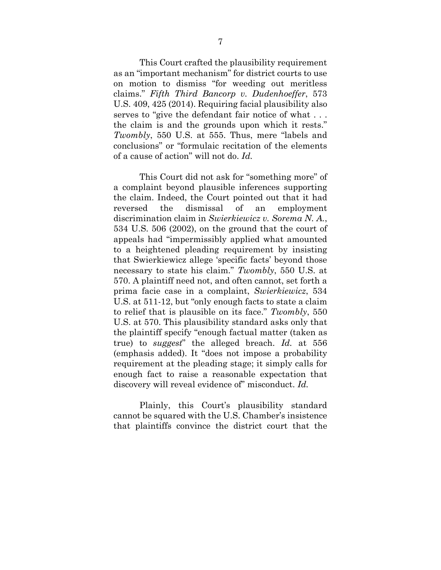This Court crafted the plausibility requirement as an "important mechanism" for district courts to use on motion to dismiss "for weeding out meritless claims." *Fifth Third Bancorp v. Dudenhoeffer*, 573 U.S. 409, 425 (2014). Requiring facial plausibility also serves to "give the defendant fair notice of what . . . the claim is and the grounds upon which it rests." *Twombly*, 550 U.S. at 555. Thus, mere "labels and conclusions" or "formulaic recitation of the elements of a cause of action" will not do. *Id.*

This Court did not ask for "something more" of a complaint beyond plausible inferences supporting the claim. Indeed, the Court pointed out that it had reversed the dismissal of an employment discrimination claim in *Swierkiewicz v. Sorema N. A.*, 534 U.S. 506 (2002), on the ground that the court of appeals had "impermissibly applied what amounted to a heightened pleading requirement by insisting that Swierkiewicz allege 'specific facts' beyond those necessary to state his claim." *Twombly*, 550 U.S. at 570. A plaintiff need not, and often cannot, set forth a prima facie case in a complaint, *Swierkiewicz*, 534 U.S. at 511-12, but "only enough facts to state a claim to relief that is plausible on its face." *Twombly*, 550 U.S. at 570. This plausibility standard asks only that the plaintiff specify "enough factual matter (taken as true) to *suggest*" the alleged breach. *Id.* at 556 (emphasis added). It "does not impose a probability requirement at the pleading stage; it simply calls for enough fact to raise a reasonable expectation that discovery will reveal evidence of" misconduct. *Id.*

Plainly, this Court's plausibility standard cannot be squared with the U.S. Chamber's insistence that plaintiffs convince the district court that the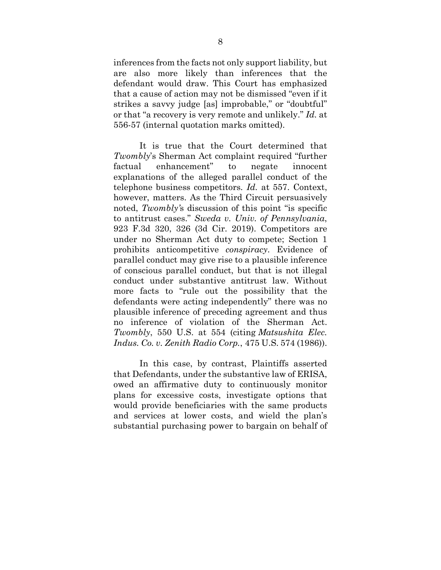inferences from the facts not only support liability, but are also more likely than inferences that the defendant would draw. This Court has emphasized that a cause of action may not be dismissed "even if it strikes a savvy judge [as] improbable," or "doubtful" or that "a recovery is very remote and unlikely." *Id.* at 556-57 (internal quotation marks omitted).

It is true that the Court determined that *Twombly*'s Sherman Act complaint required "further factual enhancement" to negate innocent explanations of the alleged parallel conduct of the telephone business competitors. *Id.* at 557. Context, however, matters. As the Third Circuit persuasively noted, *Twombly'*s discussion of this point "is specific to antitrust cases." *Sweda v. Univ. of Pennsylvania*, 923 F.3d 320, 326 (3d Cir. 2019). Competitors are under no Sherman Act duty to compete; Section 1 prohibits anticompetitive *conspiracy*. Evidence of parallel conduct may give rise to a plausible inference of conscious parallel conduct, but that is not illegal conduct under substantive antitrust law. Without more facts to "rule out the possibility that the defendants were acting independently" there was no plausible inference of preceding agreement and thus no inference of violation of the Sherman Act. *Twombly*, 550 U.S. at 554 (citing *Matsushita Elec. Indus. Co. v. Zenith Radio Corp.*, 475 U.S. 574 (1986)).

In this case, by contrast, Plaintiffs asserted that Defendants, under the substantive law of ERISA, owed an affirmative duty to continuously monitor plans for excessive costs, investigate options that would provide beneficiaries with the same products and services at lower costs, and wield the plan's substantial purchasing power to bargain on behalf of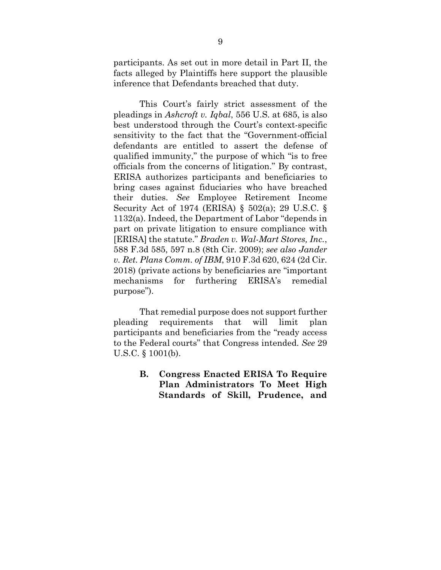participants. As set out in more detail in Part II, the facts alleged by Plaintiffs here support the plausible inference that Defendants breached that duty.

This Court's fairly strict assessment of the pleadings in *Ashcroft v. Iqbal*, 556 U.S. at 685, is also best understood through the Court's context-specific sensitivity to the fact that the "Government-official defendants are entitled to assert the defense of qualified immunity," the purpose of which "is to free officials from the concerns of litigation." By contrast, ERISA authorizes participants and beneficiaries to bring cases against fiduciaries who have breached their duties. *See* Employee Retirement Income Security Act of 1974 (ERISA) § 502(a); 29 U.S.C. § 1132(a). Indeed, the Department of Labor "depends in part on private litigation to ensure compliance with [ERISA] the statute." *Braden v. Wal-Mart Stores, Inc.*, 588 F.3d 585, 597 n.8 (8th Cir. 2009); *see also Jander v. Ret. Plans Comm. of IBM*, 910 F.3d 620, 624 (2d Cir. 2018) (private actions by beneficiaries are "important mechanisms for furthering ERISA's remedial purpose").

That remedial purpose does not support further pleading requirements that will limit plan participants and beneficiaries from the "ready access to the Federal courts" that Congress intended. *See* 29 U.S.C. § 1001(b).

> <span id="page-16-0"></span>**B. Congress Enacted ERISA To Require Plan Administrators To Meet High Standards of Skill, Prudence, and**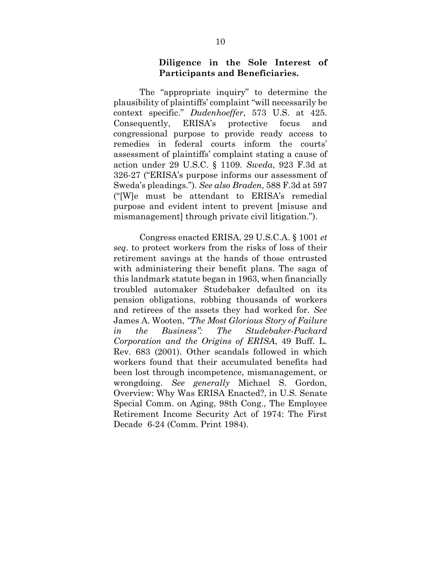#### **Diligence in the Sole Interest of Participants and Beneficiaries.**

The "appropriate inquiry" to determine the plausibility of plaintiffs' complaint "will necessarily be context specific." *Dudenhoeffer*, 573 U.S. at 425. Consequently, ERISA's protective focus and congressional purpose to provide ready access to remedies in federal courts inform the courts' assessment of plaintiffs' complaint stating a cause of action under 29 U.S.C. § 1109. *Sweda*, 923 F.3d at 326-27 ("ERISA's purpose informs our assessment of Sweda's pleadings."). *See also Braden*, 588 F.3d at 597 ("[W]e must be attendant to ERISA's remedial purpose and evident intent to prevent [misuse and mismanagement] through private civil litigation.").

Congress enacted ERISA, 29 U.S.C.A. § 1001 *et seq*. to protect workers from the risks of loss of their retirement savings at the hands of those entrusted with administering their benefit plans. The saga of this landmark statute began in 1963, when financially troubled automaker Studebaker defaulted on its pension obligations, robbing thousands of workers and retirees of the assets they had worked for. *See* James A. Wooten, *"The Most Glorious Story of Failure in the Business": The Studebaker-Packard Corporation and the Origins of ERISA*, 49 Buff. L. Rev. 683 (2001). Other scandals followed in which workers found that their accumulated benefits had been lost through incompetence, mismanagement, or wrongdoing. *See generally* Michael S. Gordon, Overview: Why Was ERISA Enacted?, in U.S. Senate Special Comm. on Aging, 98th Cong., The Employee Retirement Income Security Act of 1974: The First Decade 6-24 (Comm. Print 1984).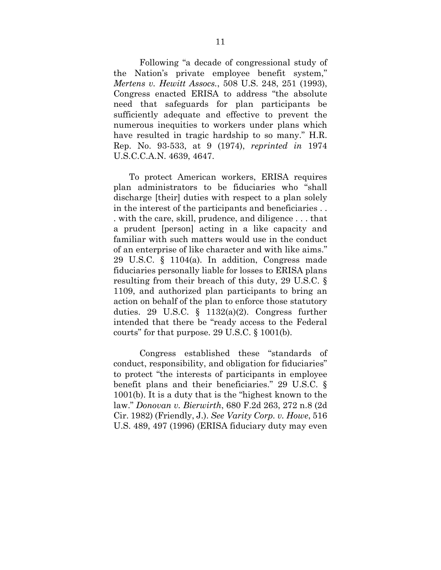Following "a decade of congressional study of the Nation's private employee benefit system," *Mertens v. Hewitt Assocs.*, 508 U.S. 248, 251 (1993), Congress enacted ERISA to address "the absolute need that safeguards for plan participants be sufficiently adequate and effective to prevent the numerous inequities to workers under plans which have resulted in tragic hardship to so many." H.R. Rep. No. 93-533, at 9 (1974), *reprinted in* 1974 U.S.C.C.A.N. 4639, 4647.

To protect American workers, ERISA requires plan administrators to be fiduciaries who "shall discharge [their] duties with respect to a plan solely in the interest of the participants and beneficiaries . . . with the care, skill, prudence, and diligence . . . that a prudent [person] acting in a like capacity and familiar with such matters would use in the conduct of an enterprise of like character and with like aims." 29 U.S.C. § 1104(a). In addition, Congress made fiduciaries personally liable for losses to ERISA plans resulting from their breach of this duty, 29 U.S.C. § 1109, and authorized plan participants to bring an action on behalf of the plan to enforce those statutory duties. 29 U.S.C. § 1132(a)(2). Congress further intended that there be "ready access to the Federal courts" for that purpose. 29 U.S.C. § 1001(b).

Congress established these "standards of conduct, responsibility, and obligation for fiduciaries" to protect "the interests of participants in employee benefit plans and their beneficiaries." 29 U.S.C. § 1001(b). It is a duty that is the "highest known to the law." *Donovan v. Bierwirth*, 680 F.2d 263, 272 n.8 (2d Cir. 1982) (Friendly, J.). *See Varity Corp. v. Howe*, 516 U.S. 489, 497 (1996) (ERISA fiduciary duty may even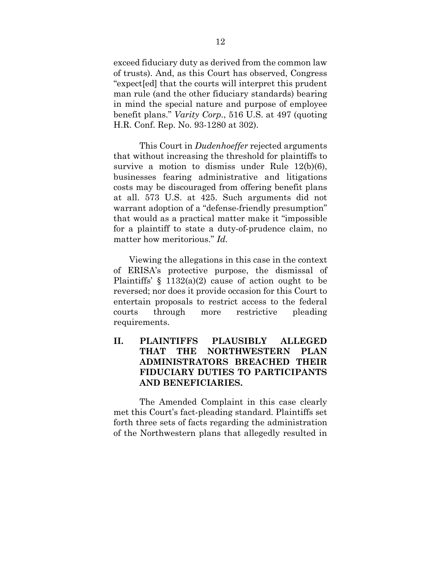exceed fiduciary duty as derived from the common law of trusts). And, as this Court has observed, Congress "expect[ed] that the courts will interpret this prudent man rule (and the other fiduciary standards) bearing in mind the special nature and purpose of employee benefit plans." *Varity Corp.*, 516 U.S. at 497 (quoting H.R. Conf. Rep. No. 93-1280 at 302).

This Court in *Dudenhoeffer* rejected arguments that without increasing the threshold for plaintiffs to survive a motion to dismiss under Rule 12(b)(6), businesses fearing administrative and litigations costs may be discouraged from offering benefit plans at all. 573 U.S. at 425. Such arguments did not warrant adoption of a "defense-friendly presumption" that would as a practical matter make it "impossible for a plaintiff to state a duty-of-prudence claim, no matter how meritorious." *Id.*

Viewing the allegations in this case in the context of ERISA's protective purpose, the dismissal of Plaintiffs'  $\S$  1132(a)(2) cause of action ought to be reversed; nor does it provide occasion for this Court to entertain proposals to restrict access to the federal courts through more restrictive pleading requirements.

## <span id="page-19-0"></span>**II. PLAINTIFFS PLAUSIBLY ALLEGED THAT THE NORTHWESTERN PLAN ADMINISTRATORS BREACHED THEIR FIDUCIARY DUTIES TO PARTICIPANTS AND BENEFICIARIES.**

The Amended Complaint in this case clearly met this Court's fact-pleading standard. Plaintiffs set forth three sets of facts regarding the administration of the Northwestern plans that allegedly resulted in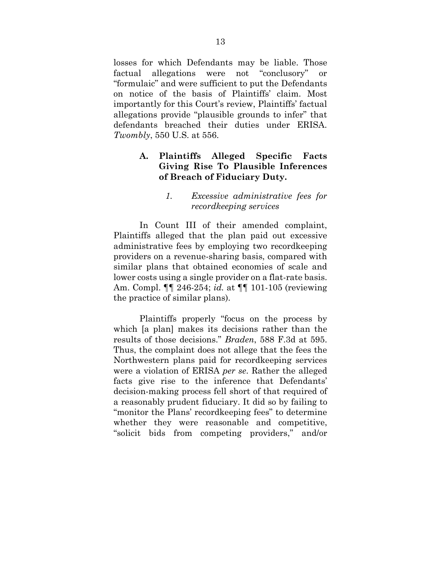losses for which Defendants may be liable. Those factual allegations were not "conclusory" or "formulaic" and were sufficient to put the Defendants on notice of the basis of Plaintiffs' claim. Most importantly for this Court's review, Plaintiffs' factual allegations provide "plausible grounds to infer" that defendants breached their duties under ERISA. *Twombly*, 550 U.S. at 556.

### <span id="page-20-0"></span>**A. Plaintiffs Alleged Specific Facts Giving Rise To Plausible Inferences of Breach of Fiduciary Duty.**

#### *1. Excessive administrative fees for recordkeeping services*

<span id="page-20-1"></span>In Count III of their amended complaint, Plaintiffs alleged that the plan paid out excessive administrative fees by employing two recordkeeping providers on a revenue-sharing basis, compared with similar plans that obtained economies of scale and lower costs using a single provider on a flat-rate basis. Am. Compl. ¶¶ 246-254; *id.* at ¶¶ 101-105 (reviewing the practice of similar plans).

Plaintiffs properly "focus on the process by which [a plan] makes its decisions rather than the results of those decisions." *Braden*, 588 F.3d at 595. Thus, the complaint does not allege that the fees the Northwestern plans paid for recordkeeping services were a violation of ERISA *per se*. Rather the alleged facts give rise to the inference that Defendants' decision-making process fell short of that required of a reasonably prudent fiduciary. It did so by failing to "monitor the Plans' recordkeeping fees" to determine whether they were reasonable and competitive, "solicit bids from competing providers," and/or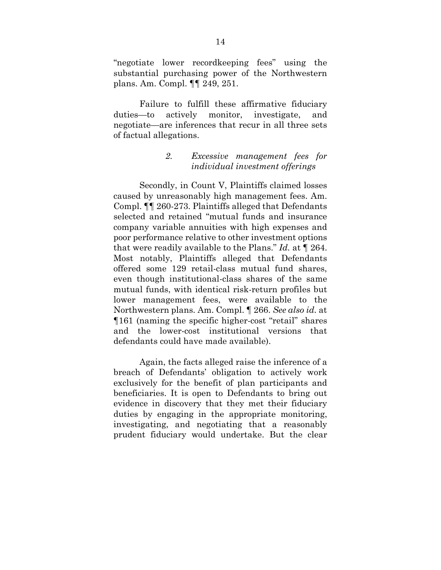"negotiate lower recordkeeping fees" using the substantial purchasing power of the Northwestern plans. Am. Compl. ¶¶ 249, 251.

Failure to fulfill these affirmative fiduciary duties—to actively monitor, investigate, and negotiate—are inferences that recur in all three sets of factual allegations.

#### *2. Excessive management fees for individual investment offerings*

<span id="page-21-0"></span>Secondly, in Count V, Plaintiffs claimed losses caused by unreasonably high management fees. Am. Compl. ¶¶ 260-273. Plaintiffs alleged that Defendants selected and retained "mutual funds and insurance company variable annuities with high expenses and poor performance relative to other investment options that were readily available to the Plans." *Id.* at ¶ 264. Most notably, Plaintiffs alleged that Defendants offered some 129 retail-class mutual fund shares, even though institutional-class shares of the same mutual funds, with identical risk-return profiles but lower management fees, were available to the Northwestern plans. Am. Compl. ¶ 266. *See also id.* at ¶161 (naming the specific higher-cost "retail" shares and the lower-cost institutional versions that defendants could have made available).

Again, the facts alleged raise the inference of a breach of Defendants' obligation to actively work exclusively for the benefit of plan participants and beneficiaries. It is open to Defendants to bring out evidence in discovery that they met their fiduciary duties by engaging in the appropriate monitoring, investigating, and negotiating that a reasonably prudent fiduciary would undertake. But the clear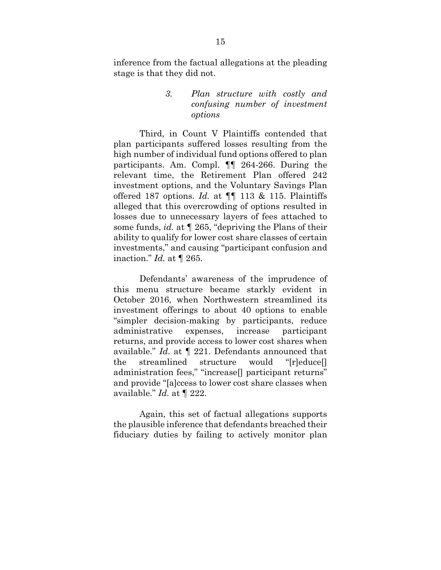<span id="page-22-0"></span>inference from the factual allegations at the pleading stage is that they did not.

#### *3. Plan structure with costly and confusing number of investment options*

Third, in Count V Plaintiffs contended that plan participants suffered losses resulting from the high number of individual fund options offered to plan participants. Am. Compl. ¶¶ 264-266. During the relevant time, the Retirement Plan offered 242 investment options, and the Voluntary Savings Plan offered 187 options. *Id.* at ¶¶ 113 & 115. Plaintiffs alleged that this overcrowding of options resulted in losses due to unnecessary layers of fees attached to some funds, *id.* at ¶ 265, "depriving the Plans of their ability to qualify for lower cost share classes of certain investments," and causing "participant confusion and inaction." *Id.* at ¶ 265.

Defendants' awareness of the imprudence of this menu structure became starkly evident in October 2016, when Northwestern streamlined its investment offerings to about 40 options to enable "simpler decision-making by participants, reduce administrative expenses, increase participant returns, and provide access to lower cost shares when available." *Id.* at ¶ 221. Defendants announced that the streamlined structure would "[r]educe[] administration fees," "increase[] participant returns" and provide "[a]ccess to lower cost share classes when available." *Id.* at ¶ 222.

Again, this set of factual allegations supports the plausible inference that defendants breached their fiduciary duties by failing to actively monitor plan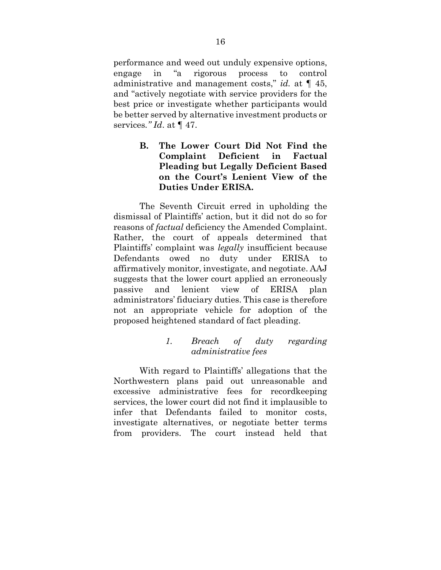performance and weed out unduly expensive options, engage in "a rigorous process to control administrative and management costs," *id.* at ¶ 45, and "actively negotiate with service providers for the best price or investigate whether participants would be better served by alternative investment products or services*." Id*. at ¶ 47.

### <span id="page-23-0"></span>**B. The Lower Court Did Not Find the Complaint Deficient in Factual Pleading but Legally Deficient Based on the Court's Lenient View of the Duties Under ERISA.**

The Seventh Circuit erred in upholding the dismissal of Plaintiffs' action, but it did not do so for reasons of *factual* deficiency the Amended Complaint. Rather, the court of appeals determined that Plaintiffs' complaint was *legally* insufficient because Defendants owed no duty under ERISA to affirmatively monitor, investigate, and negotiate. AAJ suggests that the lower court applied an erroneously passive and lenient view of ERISA plan administrators' fiduciary duties. This case is therefore not an appropriate vehicle for adoption of the proposed heightened standard of fact pleading.

#### *1. Breach of duty regarding administrative fees*

<span id="page-23-1"></span>With regard to Plaintiffs' allegations that the Northwestern plans paid out unreasonable and excessive administrative fees for recordkeeping services, the lower court did not find it implausible to infer that Defendants failed to monitor costs, investigate alternatives, or negotiate better terms from providers. The court instead held that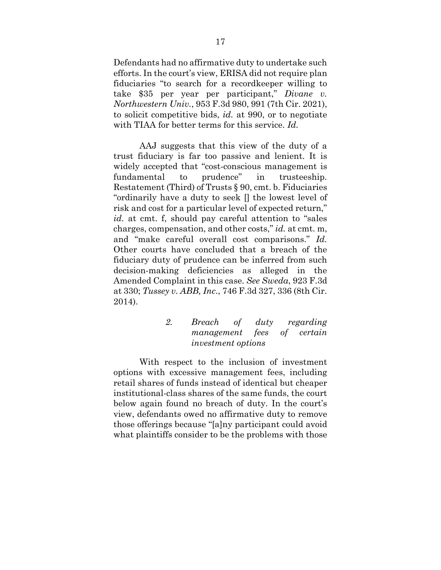Defendants had no affirmative duty to undertake such efforts. In the court's view, ERISA did not require plan fiduciaries "to search for a recordkeeper willing to take \$35 per year per participant," *Divane v. Northwestern Univ.*, 953 F.3d 980, 991 (7th Cir. 2021), to solicit competitive bids, *id.* at 990, or to negotiate with TIAA for better terms for this service. *Id.*

AAJ suggests that this view of the duty of a trust fiduciary is far too passive and lenient. It is widely accepted that "cost-conscious management is fundamental to prudence" in trusteeship. Restatement (Third) of Trusts § 90, cmt. b. Fiduciaries "ordinarily have a duty to seek [] the lowest level of risk and cost for a particular level of expected return," *id.* at cmt. f, should pay careful attention to "sales charges, compensation, and other costs," *id.* at cmt. m, and "make careful overall cost comparisons." *Id.* Other courts have concluded that a breach of the fiduciary duty of prudence can be inferred from such decision-making deficiencies as alleged in the Amended Complaint in this case. *See Sweda*, 923 F.3d at 330; *Tussey v. ABB, Inc*., 746 F.3d 327, 336 (8th Cir. 2014).

#### *2. Breach of duty regarding management fees of certain investment options*

<span id="page-24-0"></span>With respect to the inclusion of investment options with excessive management fees, including retail shares of funds instead of identical but cheaper institutional-class shares of the same funds, the court below again found no breach of duty. In the court's view, defendants owed no affirmative duty to remove those offerings because "[a]ny participant could avoid what plaintiffs consider to be the problems with those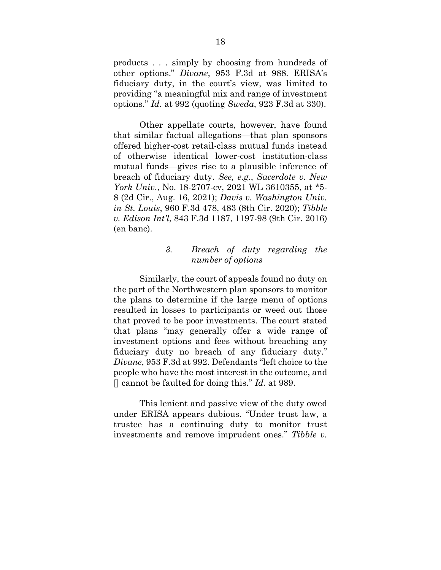products . . . simply by choosing from hundreds of other options." *Divane*, 953 F.3d at 988. ERISA's fiduciary duty, in the court's view, was limited to providing "a meaningful mix and range of investment options." *Id.* at 992 (quoting *Sweda*, 923 F.3d at 330).

Other appellate courts, however, have found that similar factual allegations—that plan sponsors offered higher-cost retail-class mutual funds instead of otherwise identical lower-cost institution-class mutual funds—gives rise to a plausible inference of breach of fiduciary duty. *See, e.g.*, *Sacerdote v. New York Univ.*, No. 18-2707-cv, 2021 WL 3610355, at \*5- 8 (2d Cir., Aug. 16, 2021); *Davis v. Washington Univ. in St. Louis*, 960 F.3d 478, 483 (8th Cir. 2020); *Tibble v. Edison Int'l*, 843 F.3d 1187, 1197-98 (9th Cir. 2016) (en banc).

#### *3. Breach of duty regarding the number of options*

<span id="page-25-0"></span>Similarly, the court of appeals found no duty on the part of the Northwestern plan sponsors to monitor the plans to determine if the large menu of options resulted in losses to participants or weed out those that proved to be poor investments. The court stated that plans "may generally offer a wide range of investment options and fees without breaching any fiduciary duty no breach of any fiduciary duty." *Divane*, 953 F.3d at 992. Defendants "left choice to the people who have the most interest in the outcome, and [] cannot be faulted for doing this." *Id.* at 989.

This lenient and passive view of the duty owed under ERISA appears dubious. "Under trust law, a trustee has a continuing duty to monitor trust investments and remove imprudent ones." *Tibble v.*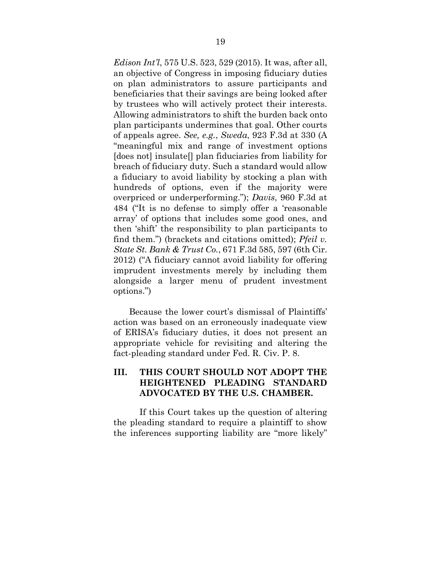*Edison Int'l*, 575 U.S. 523, 529 (2015). It was, after all, an objective of Congress in imposing fiduciary duties on plan administrators to assure participants and beneficiaries that their savings are being looked after by trustees who will actively protect their interests. Allowing administrators to shift the burden back onto plan participants undermines that goal. Other courts of appeals agree. *See, e.g.*, *Sweda*, 923 F.3d at 330 (A "meaningful mix and range of investment options [does not] insulate[] plan fiduciaries from liability for breach of fiduciary duty. Such a standard would allow a fiduciary to avoid liability by stocking a plan with hundreds of options, even if the majority were overpriced or underperforming."); *Davis*, 960 F.3d at 484 ("It is no defense to simply offer a 'reasonable array' of options that includes some good ones, and then 'shift' the responsibility to plan participants to find them.") (brackets and citations omitted); *Pfeil v. State St. Bank & Trust Co.*, 671 F.3d 585, 597 (6th Cir. 2012) ("A fiduciary cannot avoid liability for offering imprudent investments merely by including them alongside a larger menu of prudent investment options.")

Because the lower court's dismissal of Plaintiffs' action was based on an erroneously inadequate view of ERISA's fiduciary duties, it does not present an appropriate vehicle for revisiting and altering the fact-pleading standard under Fed. R. Civ. P. 8.

## <span id="page-26-0"></span>**III. THIS COURT SHOULD NOT ADOPT THE HEIGHTENED PLEADING STANDARD ADVOCATED BY THE U.S. CHAMBER.**

If this Court takes up the question of altering the pleading standard to require a plaintiff to show the inferences supporting liability are "more likely"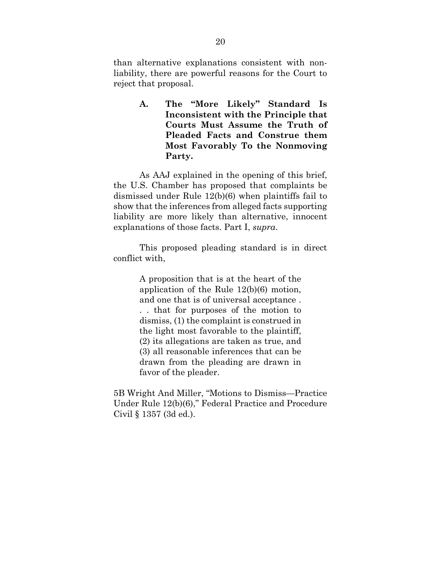than alternative explanations consistent with nonliability, there are powerful reasons for the Court to reject that proposal.

> <span id="page-27-0"></span>**A. The "More Likely" Standard Is Inconsistent with the Principle that Courts Must Assume the Truth of Pleaded Facts and Construe them Most Favorably To the Nonmoving Party.**

As AAJ explained in the opening of this brief, the U.S. Chamber has proposed that complaints be dismissed under Rule 12(b)(6) when plaintiffs fail to show that the inferences from alleged facts supporting liability are more likely than alternative, innocent explanations of those facts. Part I, *supra*.

This proposed pleading standard is in direct conflict with,

> A proposition that is at the heart of the application of the Rule 12(b)(6) motion, and one that is of universal acceptance . . . that for purposes of the motion to dismiss, (1) the complaint is construed in the light most favorable to the plaintiff, (2) its allegations are taken as true, and (3) all reasonable inferences that can be drawn from the pleading are drawn in favor of the pleader.

5B Wright And Miller, "Motions to Dismiss—Practice Under Rule 12(b)(6)," Federal Practice and Procedure Civil § 1357 (3d ed.).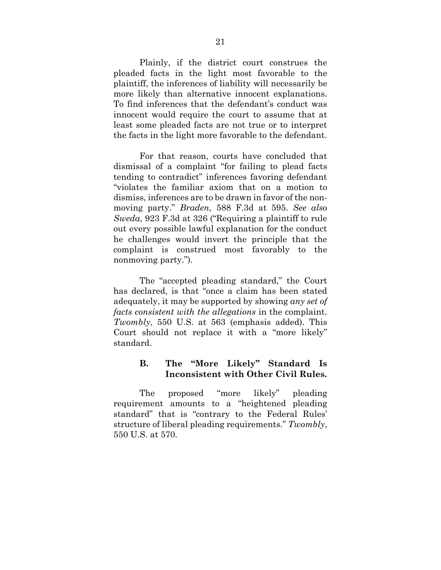Plainly, if the district court construes the pleaded facts in the light most favorable to the plaintiff, the inferences of liability will necessarily be more likely than alternative innocent explanations. To find inferences that the defendant's conduct was innocent would require the court to assume that at least some pleaded facts are not true or to interpret the facts in the light more favorable to the defendant.

For that reason, courts have concluded that dismissal of a complaint "for failing to plead facts tending to contradict" inferences favoring defendant "violates the familiar axiom that on a motion to dismiss, inferences are to be drawn in favor of the nonmoving party." *Braden*, 588 F.3d at 595. *See also Sweda*, 923 F.3d at 326 ("Requiring a plaintiff to rule out every possible lawful explanation for the conduct he challenges would invert the principle that the complaint is construed most favorably to the nonmoving party.").

The "accepted pleading standard," the Court has declared, is that "once a claim has been stated adequately, it may be supported by showing *any set of facts consistent with the allegations* in the complaint. *Twombly*, 550 U.S. at 563 (emphasis added). This Court should not replace it with a "more likely" standard.

#### <span id="page-28-0"></span>**B. The "More Likely" Standard Is Inconsistent with Other Civil Rules.**

The proposed "more likely" pleading requirement amounts to a "heightened pleading standard" that is "contrary to the Federal Rules' structure of liberal pleading requirements." *Twombly*, 550 U.S. at 570.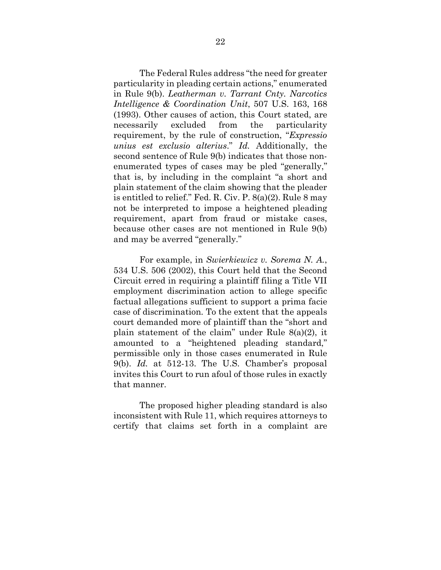The Federal Rules address "the need for greater particularity in pleading certain actions," enumerated in Rule 9(b). *Leatherman v. Tarrant Cnty. Narcotics Intelligence & Coordination Unit*, 507 U.S. 163, 168 (1993). Other causes of action, this Court stated, are necessarily excluded from the particularity requirement, by the rule of construction, "*Expressio unius est exclusio alterius*." *Id.* Additionally, the second sentence of Rule 9(b) indicates that those nonenumerated types of cases may be pled "generally," that is, by including in the complaint "a short and plain statement of the claim showing that the pleader is entitled to relief." Fed. R. Civ. P. 8(a)(2). Rule 8 may not be interpreted to impose a heightened pleading requirement, apart from fraud or mistake cases, because other cases are not mentioned in Rule 9(b) and may be averred "generally."

For example, in *Swierkiewicz v. Sorema N. A.*, 534 U.S. 506 (2002), this Court held that the Second Circuit erred in requiring a plaintiff filing a Title VII employment discrimination action to allege specific factual allegations sufficient to support a prima facie case of discrimination. To the extent that the appeals court demanded more of plaintiff than the "short and plain statement of the claim" under Rule 8(a)(2), it amounted to a "heightened pleading standard," permissible only in those cases enumerated in Rule 9(b). *Id.* at 512-13. The U.S. Chamber's proposal invites this Court to run afoul of those rules in exactly that manner.

The proposed higher pleading standard is also inconsistent with Rule 11, which requires attorneys to certify that claims set forth in a complaint are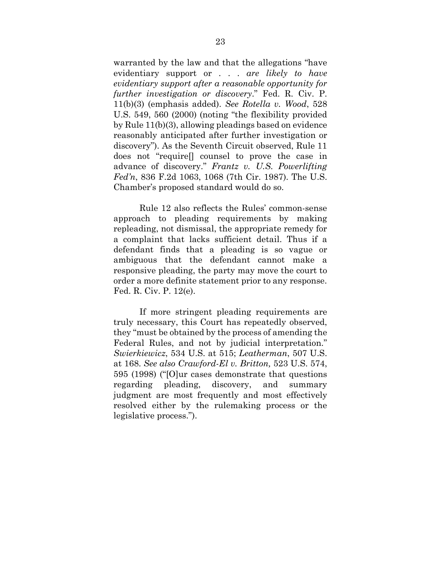warranted by the law and that the allegations "have evidentiary support or . . . *are likely to have evidentiary support after a reasonable opportunity for further investigation or discovery*." Fed. R. Civ. P. 11(b)(3) (emphasis added). *See Rotella v. Wood*, 528 U.S. 549, 560 (2000) (noting "the flexibility provided by Rule 11(b)(3), allowing pleadings based on evidence reasonably anticipated after further investigation or discovery"). As the Seventh Circuit observed, Rule 11 does not "require[] counsel to prove the case in advance of discovery." *Frantz v. U.S. Powerlifting Fed'n*, 836 F.2d 1063, 1068 (7th Cir. 1987). The U.S. Chamber's proposed standard would do so.

Rule 12 also reflects the Rules' common-sense approach to pleading requirements by making repleading, not dismissal, the appropriate remedy for a complaint that lacks sufficient detail. Thus if a defendant finds that a pleading is so vague or ambiguous that the defendant cannot make a responsive pleading, the party may move the court to order a more definite statement prior to any response. Fed. R. Civ. P. 12(e).

If more stringent pleading requirements are truly necessary, this Court has repeatedly observed, they "must be obtained by the process of amending the Federal Rules, and not by judicial interpretation." *Swierkiewicz*, 534 U.S. at 515; *Leatherman*, 507 U.S. at 168. *See also Crawford-El v. Britton,* 523 U.S. 574, 595 (1998) ("[O]ur cases demonstrate that questions regarding pleading, discovery, and summary judgment are most frequently and most effectively resolved either by the rulemaking process or the legislative process.").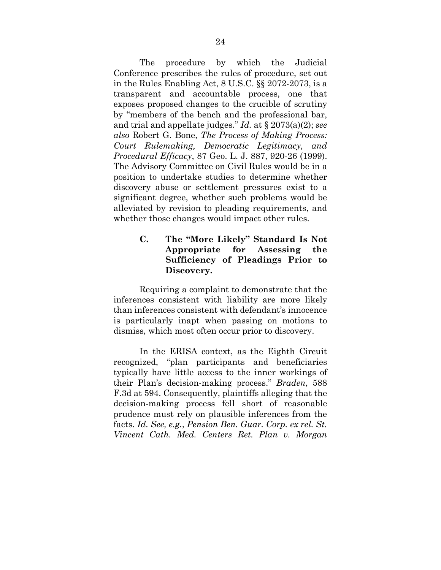The procedure by which the Judicial Conference prescribes the rules of procedure, set out in the Rules Enabling Act, 8 U.S.C. §§ 2072-2073, is a transparent and accountable process, one that exposes proposed changes to the crucible of scrutiny by "members of the bench and the professional bar, and trial and appellate judges." *Id.* at § 2073(a)(2); *see also* Robert G. Bone, *The Process of Making Process: Court Rulemaking, Democratic Legitimacy, and Procedural Efficacy*, 87 Geo. L. J. 887, 920-26 (1999). The Advisory Committee on Civil Rules would be in a position to undertake studies to determine whether discovery abuse or settlement pressures exist to a significant degree, whether such problems would be alleviated by revision to pleading requirements, and whether those changes would impact other rules.

### <span id="page-31-0"></span>**C. The "More Likely" Standard Is Not Appropriate for Assessing the Sufficiency of Pleadings Prior to Discovery.**

Requiring a complaint to demonstrate that the inferences consistent with liability are more likely than inferences consistent with defendant's innocence is particularly inapt when passing on motions to dismiss, which most often occur prior to discovery.

In the ERISA context, as the Eighth Circuit recognized, "plan participants and beneficiaries typically have little access to the inner workings of their Plan's decision-making process." *Braden*, 588 F.3d at 594. Consequently, plaintiffs alleging that the decision-making process fell short of reasonable prudence must rely on plausible inferences from the facts. *Id. See, e.g.*, *Pension Ben. Guar. Corp. ex rel. St. Vincent Cath. Med. Centers Ret. Plan v. Morgan*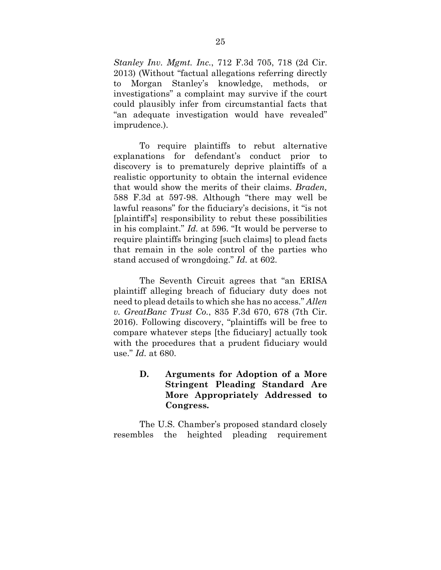*Stanley Inv. Mgmt. Inc.*, 712 F.3d 705, 718 (2d Cir. 2013) (Without "factual allegations referring directly to Morgan Stanley's knowledge, methods, or investigations" a complaint may survive if the court could plausibly infer from circumstantial facts that "an adequate investigation would have revealed" imprudence.).

To require plaintiffs to rebut alternative explanations for defendant's conduct prior to discovery is to prematurely deprive plaintiffs of a realistic opportunity to obtain the internal evidence that would show the merits of their claims. *Braden,* 588 F.3d at 597-98. Although "there may well be lawful reasons" for the fiduciary's decisions, it "is not [plaintiff's] responsibility to rebut these possibilities in his complaint." *Id.* at 596. "It would be perverse to require plaintiffs bringing [such claims] to plead facts that remain in the sole control of the parties who stand accused of wrongdoing." *Id.* at 602.

The Seventh Circuit agrees that "an ERISA plaintiff alleging breach of fiduciary duty does not need to plead details to which she has no access." *Allen v. GreatBanc Trust Co.*, 835 F.3d 670, 678 (7th Cir. 2016). Following discovery, "plaintiffs will be free to compare whatever steps [the fiduciary] actually took with the procedures that a prudent fiduciary would use." *Id.* at 680.

### <span id="page-32-0"></span>**D. Arguments for Adoption of a More Stringent Pleading Standard Are More Appropriately Addressed to Congress.**

The U.S. Chamber's proposed standard closely resembles the heighted pleading requirement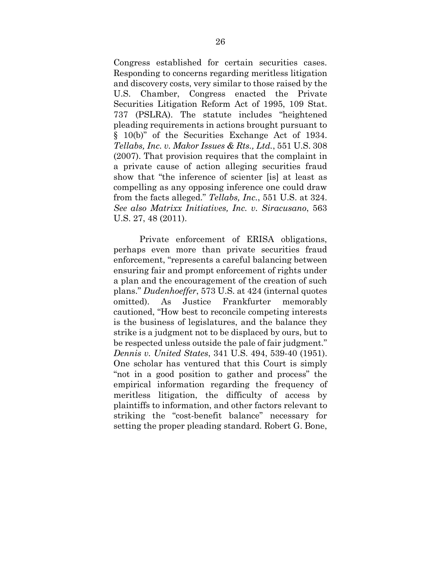Congress established for certain securities cases. Responding to concerns regarding meritless litigation and discovery costs, very similar to those raised by the U.S. Chamber, Congress enacted the Private Securities Litigation Reform Act of 1995, 109 Stat. 737 (PSLRA). The statute includes "heightened pleading requirements in actions brought pursuant to § 10(b)" of the Securities Exchange Act of 1934. *Tellabs, Inc. v. Makor Issues & Rts., Ltd.*, 551 U.S. 308 (2007). That provision requires that the complaint in a private cause of action alleging securities fraud show that "the inference of scienter [is] at least as compelling as any opposing inference one could draw from the facts alleged." *Tellabs, Inc.*, 551 U.S. at 324. *See also Matrixx Initiatives, Inc. v. Siracusano*, 563 U.S. 27, 48 (2011).

Private enforcement of ERISA obligations, perhaps even more than private securities fraud enforcement, "represents a careful balancing between ensuring fair and prompt enforcement of rights under a plan and the encouragement of the creation of such plans." *Dudenhoeffer*, 573 U.S. at 424 (internal quotes omitted). As Justice Frankfurter memorably cautioned, "How best to reconcile competing interests is the business of legislatures, and the balance they strike is a judgment not to be displaced by ours, but to be respected unless outside the pale of fair judgment." *Dennis v. United States*, 341 U.S. 494, 539-40 (1951). One scholar has ventured that this Court is simply "not in a good position to gather and process" the empirical information regarding the frequency of meritless litigation, the difficulty of access by plaintiffs to information, and other factors relevant to striking the "cost-benefit balance" necessary for setting the proper pleading standard. Robert G. Bone,